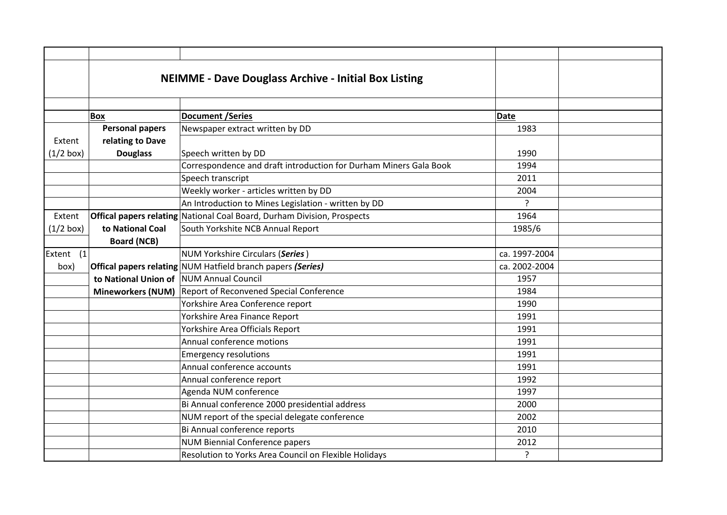|             |                                         | <b>NEIMME - Dave Douglass Archive - Initial Box Listing</b>             |               |  |
|-------------|-----------------------------------------|-------------------------------------------------------------------------|---------------|--|
|             | <b>Box</b>                              | <b>Document /Series</b>                                                 | Date          |  |
|             | <b>Personal papers</b>                  | Newspaper extract written by DD                                         | 1983          |  |
| Extent      | relating to Dave                        |                                                                         |               |  |
| $(1/2$ box) | <b>Douglass</b>                         | Speech written by DD                                                    | 1990          |  |
|             |                                         | Correspondence and draft introduction for Durham Miners Gala Book       | 1994          |  |
|             |                                         | Speech transcript                                                       | 2011          |  |
|             |                                         | Weekly worker - articles written by DD                                  | 2004          |  |
|             |                                         | An Introduction to Mines Legislation - written by DD                    | ?             |  |
| Extent      |                                         | Offical papers relating National Coal Board, Durham Division, Prospects | 1964          |  |
| $(1/2$ box) | to National Coal                        | South Yorkshite NCB Annual Report                                       | 1985/6        |  |
|             | <b>Board (NCB)</b>                      |                                                                         |               |  |
| Extent (1   |                                         | NUM Yorkshire Circulars (Series)                                        | ca. 1997-2004 |  |
| box)        |                                         | Offical papers relating NUM Hatfield branch papers (Series)             | ca. 2002-2004 |  |
|             | to National Union of NUM Annual Council |                                                                         | 1957          |  |
|             |                                         | Mineworkers (NUM) Report of Reconvened Special Conference               | 1984          |  |
|             |                                         | Yorkshire Area Conference report                                        | 1990          |  |
|             |                                         | Yorkshire Area Finance Report                                           | 1991          |  |
|             |                                         | Yorkshire Area Officials Report                                         | 1991          |  |
|             |                                         | Annual conference motions                                               | 1991          |  |
|             |                                         | <b>Emergency resolutions</b>                                            | 1991          |  |
|             |                                         | Annual conference accounts                                              | 1991          |  |
|             |                                         | Annual conference report                                                | 1992          |  |
|             |                                         | Agenda NUM conference                                                   | 1997          |  |
|             |                                         | Bi Annual conference 2000 presidential address                          | 2000          |  |
|             |                                         | NUM report of the special delegate conference                           | 2002          |  |
|             |                                         | Bi Annual conference reports                                            | 2010          |  |
|             |                                         | <b>NUM Biennial Conference papers</b>                                   | 2012          |  |
|             |                                         | Resolution to Yorks Area Council on Flexible Holidays                   | ?             |  |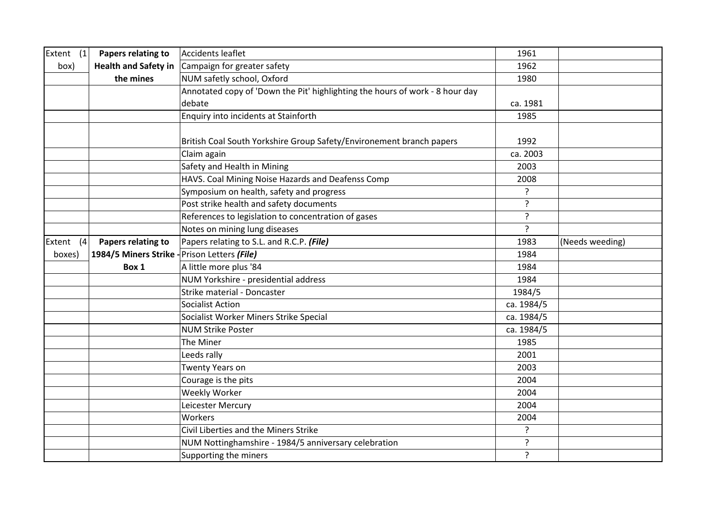| Extent (1)   | Papers relating to                           | Accidents leaflet                                                            | 1961           |                 |
|--------------|----------------------------------------------|------------------------------------------------------------------------------|----------------|-----------------|
| box)         | <b>Health and Safety in</b>                  | Campaign for greater safety                                                  | 1962           |                 |
|              | the mines                                    | NUM safetly school, Oxford                                                   | 1980           |                 |
|              |                                              | Annotated copy of 'Down the Pit' highlighting the hours of work - 8 hour day |                |                 |
|              |                                              | debate                                                                       | ca. 1981       |                 |
|              |                                              | Enquiry into incidents at Stainforth                                         | 1985           |                 |
|              |                                              | British Coal South Yorkshire Group Safety/Environement branch papers         | 1992           |                 |
|              |                                              | Claim again                                                                  | ca. 2003       |                 |
|              |                                              | Safety and Health in Mining                                                  | 2003           |                 |
|              |                                              | HAVS. Coal Mining Noise Hazards and Deafenss Comp                            | 2008           |                 |
|              |                                              | Symposium on health, safety and progress                                     | ?              |                 |
|              |                                              | Post strike health and safety documents                                      | ?              |                 |
|              |                                              | References to legislation to concentration of gases                          | $\tilde{?}$    |                 |
|              |                                              | Notes on mining lung diseases                                                | $\overline{?}$ |                 |
| Extent $(4)$ | Papers relating to                           | Papers relating to S.L. and R.C.P. (File)                                    | 1983           | (Needs weeding) |
| boxes)       | 1984/5 Miners Strike - Prison Letters (File) |                                                                              | 1984           |                 |
|              | Box 1                                        | A little more plus '84                                                       | 1984           |                 |
|              |                                              | NUM Yorkshire - presidential address                                         | 1984           |                 |
|              |                                              | Strike material - Doncaster                                                  | 1984/5         |                 |
|              |                                              | <b>Socialist Action</b>                                                      | ca. 1984/5     |                 |
|              |                                              | Socialist Worker Miners Strike Special                                       | ca. 1984/5     |                 |
|              |                                              | <b>NUM Strike Poster</b>                                                     | ca. 1984/5     |                 |
|              |                                              | The Miner                                                                    | 1985           |                 |
|              |                                              | Leeds rally                                                                  | 2001           |                 |
|              |                                              | Twenty Years on                                                              | 2003           |                 |
|              |                                              | Courage is the pits                                                          | 2004           |                 |
|              |                                              | Weekly Worker                                                                | 2004           |                 |
|              |                                              | Leicester Mercury                                                            | 2004           |                 |
|              |                                              | Workers                                                                      | 2004           |                 |
|              |                                              | Civil Liberties and the Miners Strike                                        | ?              |                 |
|              |                                              | NUM Nottinghamshire - 1984/5 anniversary celebration                         | ?              |                 |
|              |                                              | Supporting the miners                                                        | ?              |                 |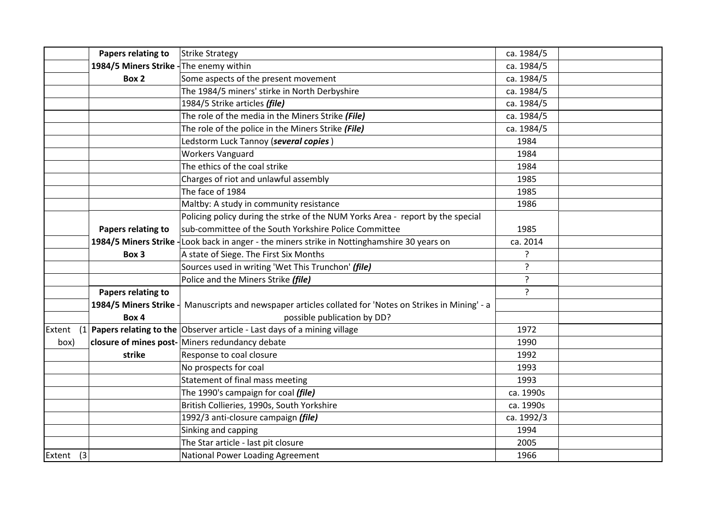| Papers relating to                      | Strike Strategy                                                                  | ca. 1984/5   |  |
|-----------------------------------------|----------------------------------------------------------------------------------|--------------|--|
| 1984/5 Miners Strike - The enemy within |                                                                                  | ca. 1984/5   |  |
| Box 2                                   | Some aspects of the present movement                                             | ca. 1984/5   |  |
|                                         | The 1984/5 miners' stirke in North Derbyshire                                    | ca. 1984/5   |  |
|                                         | 1984/5 Strike articles (file)                                                    | ca. 1984/5   |  |
|                                         | The role of the media in the Miners Strike (File)                                | ca. 1984/5   |  |
|                                         | The role of the police in the Miners Strike (File)                               | ca. 1984/5   |  |
|                                         | Ledstorm Luck Tannoy (several copies)                                            | 1984         |  |
|                                         | <b>Workers Vanguard</b>                                                          | 1984         |  |
|                                         | The ethics of the coal strike                                                    | 1984         |  |
|                                         | Charges of riot and unlawful assembly                                            | 1985         |  |
|                                         | The face of 1984                                                                 | 1985         |  |
|                                         | Maltby: A study in community resistance                                          | 1986         |  |
|                                         | Policing policy during the strke of the NUM Yorks Area - report by the special   |              |  |
| Papers relating to                      | sub-committee of the South Yorkshire Police Committee                            | 1985         |  |
| 1984/5 Miners Strike                    | -Look back in anger - the miners strike in Nottinghamshire 30 years on           | ca. 2014     |  |
| Box 3                                   | A state of Siege. The First Six Months                                           | ?            |  |
|                                         | Sources used in writing 'Wet This Trunchon' (file)                               | ?            |  |
|                                         | Police and the Miners Strike (file)                                              | $\mathbf{S}$ |  |
| Papers relating to                      |                                                                                  | ?            |  |
| 1984/5 Miners Strike                    | Manuscripts and newspaper articles collated for 'Notes on Strikes in Mining' - a |              |  |
| Box 4                                   | possible publication by DD?                                                      |              |  |
| Extent<br>(1)                           | Papers relating to the Observer article - Last days of a mining village          | 1972         |  |
| box)                                    | closure of mines post-Miners redundancy debate                                   | 1990         |  |
| strike                                  | Response to coal closure                                                         | 1992         |  |
|                                         | No prospects for coal                                                            | 1993         |  |
|                                         | Statement of final mass meeting                                                  | 1993         |  |
|                                         | The 1990's campaign for coal (file)                                              | ca. 1990s    |  |
|                                         | British Collieries, 1990s, South Yorkshire                                       | ca. 1990s    |  |
|                                         | 1992/3 anti-closure campaign (file)                                              | ca. 1992/3   |  |
|                                         | Sinking and capping                                                              | 1994         |  |
|                                         | The Star article - last pit closure                                              | 2005         |  |
| Extent (3)                              | National Power Loading Agreement                                                 | 1966         |  |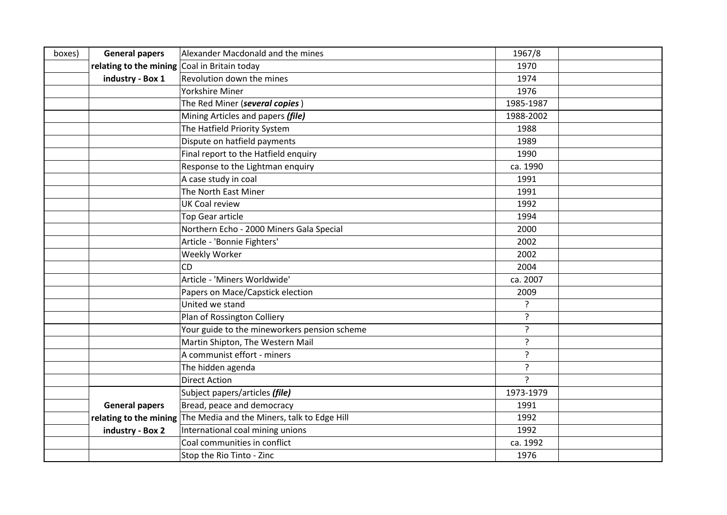| boxes) | <b>General papers</b>                        | Alexander Macdonald and the mines                                  | 1967/8         |  |
|--------|----------------------------------------------|--------------------------------------------------------------------|----------------|--|
|        | relating to the mining Coal in Britain today |                                                                    | 1970           |  |
|        | industry - Box 1                             | Revolution down the mines                                          | 1974           |  |
|        |                                              | <b>Yorkshire Miner</b>                                             | 1976           |  |
|        |                                              | The Red Miner (several copies)                                     | 1985-1987      |  |
|        |                                              | Mining Articles and papers (file)                                  | 1988-2002      |  |
|        |                                              | The Hatfield Priority System                                       | 1988           |  |
|        |                                              | Dispute on hatfield payments                                       | 1989           |  |
|        |                                              | Final report to the Hatfield enquiry                               | 1990           |  |
|        |                                              | Response to the Lightman enquiry                                   | ca. 1990       |  |
|        |                                              | A case study in coal                                               | 1991           |  |
|        |                                              | The North East Miner                                               | 1991           |  |
|        |                                              | <b>UK Coal review</b>                                              | 1992           |  |
|        |                                              | <b>Top Gear article</b>                                            | 1994           |  |
|        |                                              | Northern Echo - 2000 Miners Gala Special                           | 2000           |  |
|        |                                              | Article - 'Bonnie Fighters'                                        | 2002           |  |
|        |                                              | <b>Weekly Worker</b>                                               | 2002           |  |
|        |                                              | <b>CD</b>                                                          | 2004           |  |
|        |                                              | Article - 'Miners Worldwide'                                       | ca. 2007       |  |
|        |                                              | Papers on Mace/Capstick election                                   | 2009           |  |
|        |                                              | United we stand                                                    | ?              |  |
|        |                                              | Plan of Rossington Colliery                                        | ?              |  |
|        |                                              | Your guide to the mineworkers pension scheme                       | ?              |  |
|        |                                              | Martin Shipton, The Western Mail                                   | ?              |  |
|        |                                              | A communist effort - miners                                        | ?              |  |
|        |                                              | The hidden agenda                                                  | ?              |  |
|        |                                              | <b>Direct Action</b>                                               | $\overline{?}$ |  |
|        |                                              | Subject papers/articles (file)                                     | 1973-1979      |  |
|        | <b>General papers</b>                        | Bread, peace and democracy                                         | 1991           |  |
|        |                                              | relating to the mining The Media and the Miners, talk to Edge Hill | 1992           |  |
|        | industry - Box 2                             | International coal mining unions                                   | 1992           |  |
|        |                                              | Coal communities in conflict                                       | ca. 1992       |  |
|        |                                              | Stop the Rio Tinto - Zinc                                          | 1976           |  |